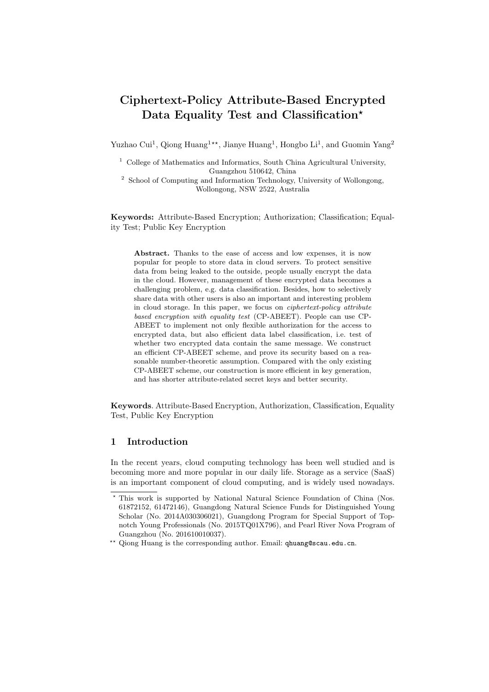# Ciphertext-Policy Attribute-Based Encrypted Data Equality Test and Classification\*

Yuzhao Cui<sup>1</sup>, Qiong Huang<sup>1\*\*</sup>, Jianye Huang<sup>1</sup>, Hongbo Li<sup>1</sup>, and Guomin Yang<sup>2</sup>

<sup>1</sup> College of Mathematics and Informatics, South China Agricultural University, Guangzhou 510642, China

 $^{\rm 2}$  School of Computing and Information Technology, University of Wollongong, Wollongong, NSW 2522, Australia

Keywords: Attribute-Based Encryption; Authorization; Classification; Equality Test; Public Key Encryption

Abstract. Thanks to the ease of access and low expenses, it is now popular for people to store data in cloud servers. To protect sensitive data from being leaked to the outside, people usually encrypt the data in the cloud. However, management of these encrypted data becomes a challenging problem, e.g. data classification. Besides, how to selectively share data with other users is also an important and interesting problem in cloud storage. In this paper, we focus on ciphertext-policy attribute based encryption with equality test (CP-ABEET). People can use CP-ABEET to implement not only flexible authorization for the access to encrypted data, but also efficient data label classification, i.e. test of whether two encrypted data contain the same message. We construct an efficient CP-ABEET scheme, and prove its security based on a reasonable number-theoretic assumption. Compared with the only existing CP-ABEET scheme, our construction is more efficient in key generation, and has shorter attribute-related secret keys and better security.

Keywords. Attribute-Based Encryption, Authorization, Classification, Equality Test, Public Key Encryption

# 1 Introduction

In the recent years, cloud computing technology has been well studied and is becoming more and more popular in our daily life. Storage as a service (SaaS) is an important component of cloud computing, and is widely used nowadays.

<sup>?</sup> This work is supported by National Natural Science Foundation of China (Nos. 61872152, 61472146), Guangdong Natural Science Funds for Distinguished Young Scholar (No. 2014A030306021), Guangdong Program for Special Support of Topnotch Young Professionals (No. 2015TQ01X796), and Pearl River Nova Program of Guangzhou (No. 201610010037).

<sup>\*\*</sup> Qiong Huang is the corresponding author. Email: qhuang@scau.edu.cn.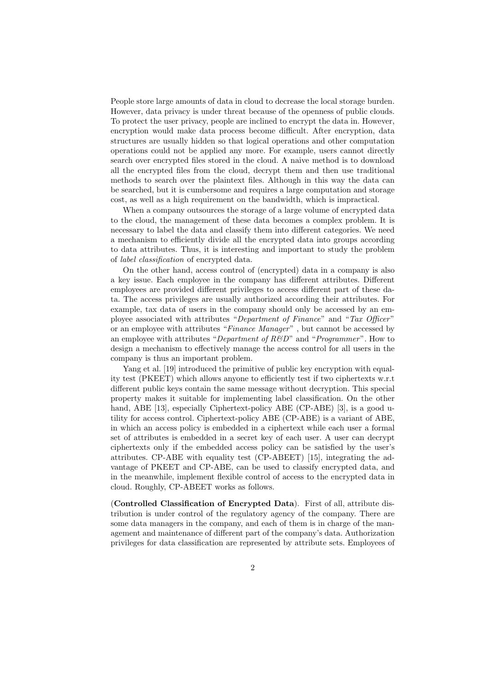People store large amounts of data in cloud to decrease the local storage burden. However, data privacy is under threat because of the openness of public clouds. To protect the user privacy, people are inclined to encrypt the data in. However, encryption would make data process become difficult. After encryption, data structures are usually hidden so that logical operations and other computation operations could not be applied any more. For example, users cannot directly search over encrypted files stored in the cloud. A naive method is to download all the encrypted files from the cloud, decrypt them and then use traditional methods to search over the plaintext files. Although in this way the data can be searched, but it is cumbersome and requires a large computation and storage cost, as well as a high requirement on the bandwidth, which is impractical.

When a company outsources the storage of a large volume of encrypted data to the cloud, the management of these data becomes a complex problem. It is necessary to label the data and classify them into different categories. We need a mechanism to efficiently divide all the encrypted data into groups according to data attributes. Thus, it is interesting and important to study the problem of label classification of encrypted data.

On the other hand, access control of (encrypted) data in a company is also a key issue. Each employee in the company has different attributes. Different employees are provided different privileges to access different part of these data. The access privileges are usually authorized according their attributes. For example, tax data of users in the company should only be accessed by an employee associated with attributes "Department of Finance" and "Tax Officer" or an employee with attributes "Finance Manager" , but cannot be accessed by an employee with attributes "Department of  $R\&D$ " and "Programmer". How to design a mechanism to effectively manage the access control for all users in the company is thus an important problem.

Yang et al. [\[19\]](#page-18-0) introduced the primitive of public key encryption with equality test (PKEET) which allows anyone to efficiently test if two ciphertexts w.r.t different public keys contain the same message without decryption. This special property makes it suitable for implementing label classification. On the other hand, ABE [\[13\]](#page-18-1), especially Ciphertext-policy ABE (CP-ABE) [\[3\]](#page-17-0), is a good utility for access control. Ciphertext-policy ABE (CP-ABE) is a variant of ABE, in which an access policy is embedded in a ciphertext while each user a formal set of attributes is embedded in a secret key of each user. A user can decrypt ciphertexts only if the embedded access policy can be satisfied by the user's attributes. CP-ABE with equality test (CP-ABEET) [\[15\]](#page-18-2), integrating the advantage of PKEET and CP-ABE, can be used to classify encrypted data, and in the meanwhile, implement flexible control of access to the encrypted data in cloud. Roughly, CP-ABEET works as follows.

(Controlled Classification of Encrypted Data). First of all, attribute distribution is under control of the regulatory agency of the company. There are some data managers in the company, and each of them is in charge of the management and maintenance of different part of the company's data. Authorization privileges for data classification are represented by attribute sets. Employees of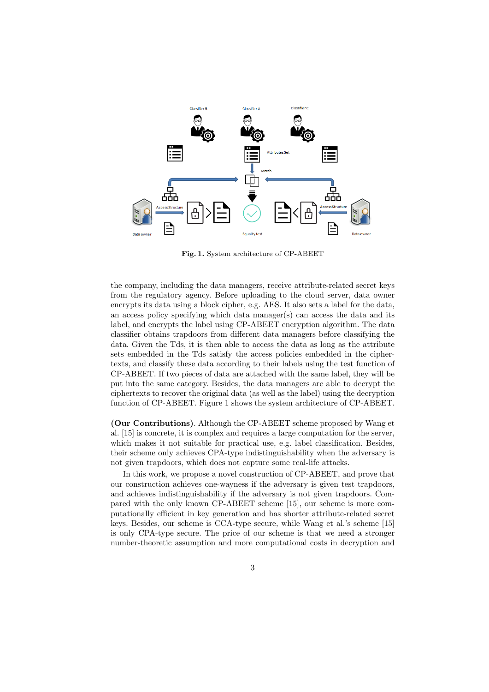

<span id="page-2-0"></span>Fig. 1. System architecture of CP-ABEET

the company, including the data managers, receive attribute-related secret keys from the regulatory agency. Before uploading to the cloud server, data owner encrypts its data using a block cipher, e.g. AES. It also sets a label for the data, an access policy specifying which data manager(s) can access the data and its label, and encrypts the label using CP-ABEET encryption algorithm. The data classifier obtains trapdoors from different data managers before classifying the data. Given the Tds, it is then able to access the data as long as the attribute sets embedded in the Tds satisfy the access policies embedded in the ciphertexts, and classify these data according to their labels using the test function of CP-ABEET. If two pieces of data are attached with the same label, they will be put into the same category. Besides, the data managers are able to decrypt the ciphertexts to recover the original data (as well as the label) using the decryption function of CP-ABEET. Figure [1](#page-2-0) shows the system architecture of CP-ABEET.

(Our Contributions). Although the CP-ABEET scheme proposed by Wang et al. [\[15\]](#page-18-2) is concrete, it is complex and requires a large computation for the server, which makes it not suitable for practical use, e.g. label classification. Besides, their scheme only achieves CPA-type indistinguishability when the adversary is not given trapdoors, which does not capture some real-life attacks.

In this work, we propose a novel construction of CP-ABEET, and prove that our construction achieves one-wayness if the adversary is given test trapdoors, and achieves indistinguishability if the adversary is not given trapdoors. Compared with the only known CP-ABEET scheme [\[15\]](#page-18-2), our scheme is more computationally efficient in key generation and has shorter attribute-related secret keys. Besides, our scheme is CCA-type secure, while Wang et al.'s scheme [\[15\]](#page-18-2) is only CPA-type secure. The price of our scheme is that we need a stronger number-theoretic assumption and more computational costs in decryption and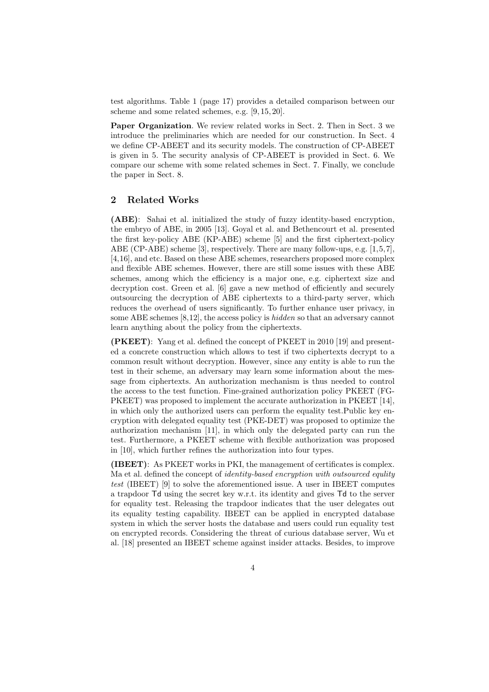test algorithms. Table [1](#page-16-0) (page [17\)](#page-16-0) provides a detailed comparison between our scheme and some related schemes, e.g. [\[9,](#page-17-1) [15,](#page-18-2) [20\]](#page-18-3).

Paper Organization. We review related works in Sect. [2.](#page-3-0) Then in Sect. [3](#page-4-0) we introduce the preliminaries which are needed for our construction. In Sect. [4](#page-5-0) we define CP-ABEET and its security models. The construction of CP-ABEET is given in [5.](#page-7-0) The security analysis of CP-ABEET is provided in Sect. [6.](#page-9-0) We compare our scheme with some related schemes in Sect. [7.](#page-15-0) Finally, we conclude the paper in Sect. [8.](#page-17-2)

# <span id="page-3-0"></span>2 Related Works

(ABE): Sahai et al. initialized the study of fuzzy identity-based encryption, the embryo of ABE, in 2005 [\[13\]](#page-18-1). Goyal et al. and Bethencourt et al. presented the first key-policy ABE (KP-ABE) scheme [\[5\]](#page-17-3) and the first ciphertext-policy ABE (CP-ABE) scheme [\[3\]](#page-17-0), respectively. There are many follow-ups, e.g. [\[1,](#page-17-4)[5,](#page-17-3)[7\]](#page-17-5), [\[4,](#page-17-6)[16\]](#page-18-4), and etc. Based on these ABE schemes, researchers proposed more complex and flexible ABE schemes. However, there are still some issues with these ABE schemes, among which the efficiency is a major one, e.g. ciphertext size and decryption cost. Green et al. [\[6\]](#page-17-7) gave a new method of efficiently and securely outsourcing the decryption of ABE ciphertexts to a third-party server, which reduces the overhead of users significantly. To further enhance user privacy, in some ABE schemes [\[8](#page-17-8)[,12\]](#page-18-5), the access policy is hidden so that an adversary cannot learn anything about the policy from the ciphertexts.

(PKEET): Yang et al. defined the concept of PKEET in 2010 [\[19\]](#page-18-0) and presented a concrete construction which allows to test if two ciphertexts decrypt to a common result without decryption. However, since any entity is able to run the test in their scheme, an adversary may learn some information about the message from ciphertexts. An authorization mechanism is thus needed to control the access to the test function. Fine-grained authorization policy PKEET (FG-PKEET) was proposed to implement the accurate authorization in PKEET [\[14\]](#page-18-6), in which only the authorized users can perform the equality test.Public key encryption with delegated equality test (PKE-DET) was proposed to optimize the authorization mechanism [\[11\]](#page-17-9), in which only the delegated party can run the test. Furthermore, a PKEET scheme with flexible authorization was proposed in [\[10\]](#page-17-10), which further refines the authorization into four types.

(IBEET): As PKEET works in PKI, the management of certificates is complex. Ma et al. defined the concept of *identity-based encryption with outsourced equlity* test (IBEET) [\[9\]](#page-17-1) to solve the aforementioned issue. A user in IBEET computes a trapdoor Td using the secret key w.r.t. its identity and gives Td to the server for equality test. Releasing the trapdoor indicates that the user delegates out its equality testing capability. IBEET can be applied in encrypted database system in which the server hosts the database and users could run equality test on encrypted records. Considering the threat of curious database server, Wu et al. [\[18\]](#page-18-7) presented an IBEET scheme against insider attacks. Besides, to improve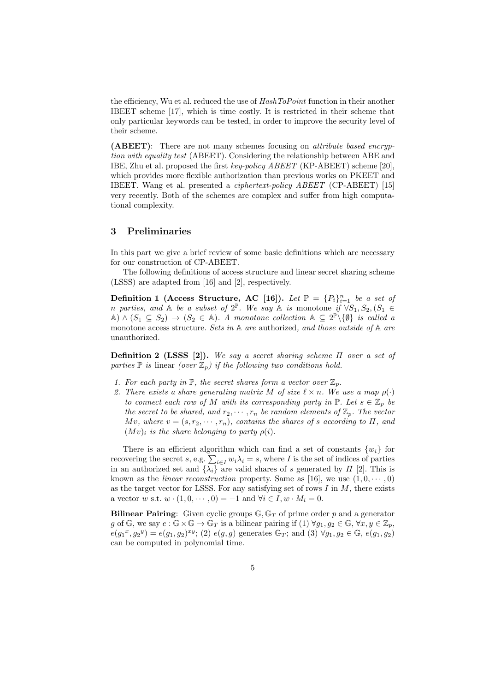the efficiency. Wu et al. reduced the use of  $HashToPoint$  function in their another IBEET scheme [\[17\]](#page-18-8), which is time costly. It is restricted in their scheme that only particular keywords can be tested, in order to improve the security level of their scheme.

(ABEET): There are not many schemes focusing on attribute based encryption with equality test (ABEET). Considering the relationship between ABE and IBE, Zhu et al. proposed the first key-policy ABEET (KP-ABEET) scheme [\[20\]](#page-18-3), which provides more flexible authorization than previous works on PKEET and IBEET. Wang et al. presented a ciphertext-policy ABEET (CP-ABEET) [\[15\]](#page-18-2) very recently. Both of the schemes are complex and suffer from high computational complexity.

# <span id="page-4-0"></span>3 Preliminaries

In this part we give a brief review of some basic definitions which are necessary for our construction of CP-ABEET.

The following definitions of access structure and linear secret sharing scheme (LSSS) are adapted from [\[16\]](#page-18-4) and [\[2\]](#page-17-11), respectively.

Definition 1 (Access Structure, AC [\[16\]](#page-18-4)). Let  $\mathbb{P} = \{P_i\}_{i=1}^n$  be a set of n parties, and  $A$  be a subset of  $2^{\mathbb{P}}$ . We say  $A$  is monotone if  $\forall S_1, S_2, (S_1 \in$  $\mathbb{A}) \wedge (S_1 \subseteq S_2) \rightarrow (S_2 \in \mathbb{A})$ . A monotone collection  $\mathbb{A} \subseteq 2^{\mathbb{P}} \setminus \{\emptyset\}$  is called a monotone access structure. Sets in  $A$  are authorized, and those outside of  $A$  are unauthorized.

Definition 2 (LSSS [\[2\]](#page-17-11)). We say a secret sharing scheme  $\Pi$  over a set of parties  $\mathbb P$  is linear (over  $\mathbb Z_p$ ) if the following two conditions hold.

- 1. For each party in  $\mathbb{P}$ , the secret shares form a vector over  $\mathbb{Z}_p$ .
- 2. There exists a share generating matrix M of size  $\ell \times n$ . We use a map  $\rho(\cdot)$ to connect each row of M with its corresponding party in  $\mathbb{P}$ . Let  $s \in \mathbb{Z}_p$  be the secret to be shared, and  $r_2, \dots, r_n$  be random elements of  $\mathbb{Z}_p$ . The vector Mv, where  $v = (s, r_2, \dots, r_n)$ , contains the shares of s according to  $\Pi$ , and  $(Mv)_i$  is the share belonging to party  $\rho(i)$ .

There is an efficient algorithm which can find a set of constants  $\{w_i\}$  for recovering the secret s, e.g.  $\sum_{i\in I} w_i \lambda_i = s$ , where I is the set of indices of parties in an authorized set and  $\{\lambda_i\}$  are valid shares of s generated by  $\Pi$  [\[2\]](#page-17-11). This is known as the *linear reconstruction* property. Same as [\[16\]](#page-18-4), we use  $(1, 0, \dots, 0)$ as the target vector for LSSS. For any satisfying set of rows  $I$  in  $M$ , there exists a vector w s.t.  $w \cdot (1, 0, \dots, 0) = -1$  and  $\forall i \in I, w \cdot M_i = 0$ .

**Bilinear Pairing:** Given cyclic groups  $\mathbb{G}, \mathbb{G}_T$  of prime order p and a generator g of G, we say  $e : \mathbb{G} \times \mathbb{G} \to \mathbb{G}_T$  is a bilinear pairing if  $(1) \forall g_1, g_2 \in \mathbb{G}, \forall x, y \in \mathbb{Z}_p$ ,  $e(g_1^x, g_2^y) = e(g_1, g_2)^{xy}$ ; (2)  $e(g, g)$  generates  $\mathbb{G}_T$ ; and (3)  $\forall g_1, g_2 \in \mathbb{G}$ ,  $e(g_1, g_2)$ can be computed in polynomial time.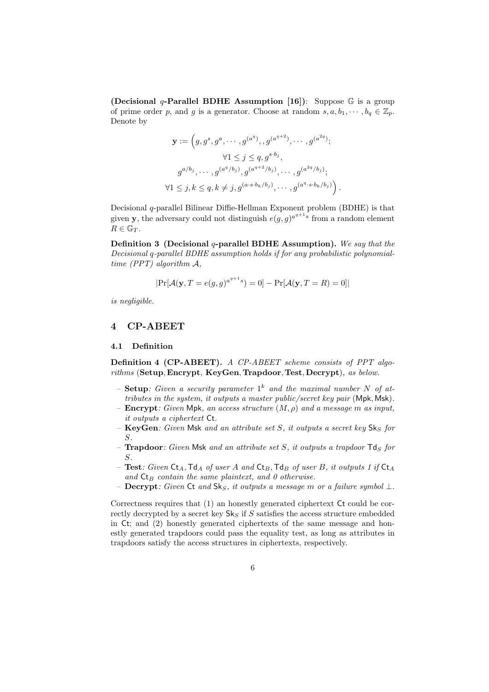(Decisional q-Parallel BDHE Assumption [\[16\]](#page-18-4)): Suppose  $\mathbb G$  is a group of prime order p, and g is a generator. Choose at random  $s, a, b_1, \dots, b_q \in \mathbb{Z}_p$ . Denote by

$$
\mathbf{y} := \left(g, g^s, g^a, \dots, g^{(a^q)}, g^{(a^{q+2})}, \dots, g^{(a^{2q})};\right.\n\forall 1 \leq j \leq q, g^{s \cdot b_j},\ng^{a/b_j}, \dots, g^{(a^q/b_j)}, g^{(a^{q+2}/b_j)}, \dots, g^{(a^{2q}/b_j)};\n\forall 1 \leq j, k \leq q, k \neq j, g^{(a \cdot s \cdot b_k/b_j)}, \dots, g^{(a^q \cdot s \cdot b_k/b_j)}\right).
$$

<span id="page-5-1"></span>Decisional q-parallel Bilinear Diffie-Hellman Exponent problem (BDHE) is that given **y**, the adversary could not distinguish  $e(g, g)^{a^{q+1}s}$  from a random element  $R \in \mathbb{G}_T$ .

Definition 3 (Decisional  $q$ -parallel BDHE Assumption). We say that the Decisional q-parallel BDHE assumption holds if for any probabilistic polynomialtime (PPT) algorithm A,

$$
|\Pr[\mathcal{A}(\mathbf{y}, T = e(g, g)^{a^{q+1}s}) = 0] - \Pr[\mathcal{A}(\mathbf{y}, T = R) = 0]|
$$

is negligible.

## <span id="page-5-0"></span>4 CP-ABEET

#### 4.1 Definition

Definition 4 (CP-ABEET). A CP-ABEET scheme consists of PPT algorithms (Setup, Encrypt, KeyGen, Trapdoor, Test, Decrypt), as below.

- Setup: Given a security parameter  $1^k$  and the maximal number N of attributes in the system, it outputs a master public/secret key pair (Mpk, Msk).
- **Encrypt**: Given Mpk, an access structure  $(M, \rho)$  and a message m as input, it outputs a ciphertext Ct.
- KeyGen: Given Msk and an attribute set  $S$ , it outputs a secret key  $\mathsf{Sk}_S$  for S.
- **Trapdoor**: Given Msk and an attribute set S, it outputs a trapdoor  $\mathsf{Td}_S$  for S.
- Test: Given  $\mathsf{C}t_A$ ,  $\mathsf{T}d_A$  of user A and  $\mathsf{C}t_B$ ,  $\mathsf{T}d_B$  of user B, it outputs 1 if  $\mathsf{C}t_A$ and  $\mathsf{Ct}_B$  contain the same plaintext, and 0 otherwise.
- **Decrypt:** Given Ct and  $Sk_S$ , it outputs a message m or a failure symbol  $\perp$ .

Correctness requires that (1) an honestly generated ciphertext Ct could be correctly decrypted by a secret key  $S_k$  if S satisfies the access structure embedded in Ct; and (2) honestly generated ciphertexts of the same message and honestly generated trapdoors could pass the equality test, as long as attributes in trapdoors satisfy the access structures in ciphertexts, respectively.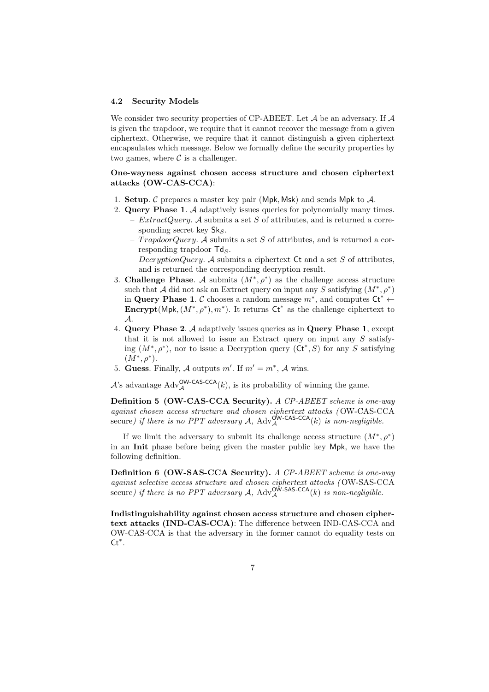## <span id="page-6-0"></span>4.2 Security Models

We consider two security properties of CP-ABEET. Let  $A$  be an adversary. If  $A$ is given the trapdoor, we require that it cannot recover the message from a given ciphertext. Otherwise, we require that it cannot distinguish a given ciphertext encapsulates which message. Below we formally define the security properties by two games, where  $\mathcal C$  is a challenger.

## One-wayness against chosen access structure and chosen ciphertext attacks (OW-CAS-CCA):

- 1. Setup. C prepares a master key pair (Mpk, Msk) and sends Mpk to  $A$ .
- 2. Query Phase 1. A adaptively issues queries for polynomially many times. -  $ExtractQuery.$  A submits a set S of attributes, and is returned a corresponding secret key  $\mathsf{Sk}_S$ .
	- $TrapdoorQuery.$  A submits a set S of attributes, and is returned a corresponding trapdoor  $\mathsf{Td}_S$ .
	- $DecryptionQuery.$  A submits a ciphertext Ct and a set S of attributes, and is returned the corresponding decryption result.
- 3. Challenge Phase. A submits  $(M^*, \rho^*)$  as the challenge access structure such that A did not ask an Extract query on input any S satisfying  $(M^*, \rho^*)$ in Query Phase 1. C chooses a random message  $m^*$ , and computes Ct<sup>\*</sup> ← Encrypt(Mpk,  $(M^*, \rho^*)$ ,  $m^*$ ). It returns Ct<sup>\*</sup> as the challenge ciphertext to A.
- 4. Query Phase 2. A adaptively issues queries as in Query Phase 1, except that it is not allowed to issue an Extract query on input any S satisfying  $(M^*, \rho^*)$ , nor to issue a Decryption query  $(\mathsf{C} \mathsf{t}^*, S)$  for any S satisfying  $(M^*, \rho^*).$
- 5. Guess. Finally, A outputs  $m'$ . If  $m' = m^*$ , A wins.

A's advantage  $\text{Adv}_{\mathcal{A}}^{\text{OW-CAS-CCA}}(k)$ , is its probability of winning the game.

Definition 5 (OW-CAS-CCA Security). A CP-ABEET scheme is one-way against chosen access structure and chosen ciphertext attacks ( OW-CAS-CCA secure) if there is no PPT adversary A,  $\text{Adv}^{\text{OW-CAS-CCA}}(k)$  is non-negligible.

If we limit the adversary to submit its challenge access structure  $(M^*, \rho^*)$ in an Init phase before being given the master public key Mpk, we have the following definition.

Definition 6 (OW-SAS-CCA Security). A CP-ABEET scheme is one-way against selective access structure and chosen ciphertext attacks ( OW-SAS-CCA secure) if there is no PPT adversary A,  $\text{Adv}_{\mathcal{A}}^{\text{OW-SAS-CCA}}(k)$  is non-negligible.

Indistinguishability against chosen access structure and chosen ciphertext attacks (IND-CAS-CCA): The difference between IND-CAS-CCA and OW-CAS-CCA is that the adversary in the former cannot do equality tests on  $Ct^*$ .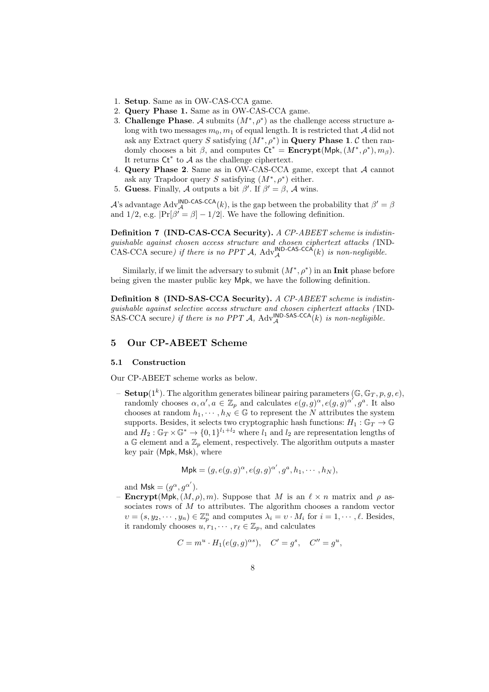- 1. Setup. Same as in OW-CAS-CCA game.
- 2. Query Phase 1. Same as in OW-CAS-CCA game.
- 3. Challenge Phase. A submits  $(M^*, \rho^*)$  as the challenge access structure along with two messages  $m_0, m_1$  of equal length. It is restricted that A did not ask any Extract query S satisfying  $(M^*, \rho^*)$  in **Query Phase 1.** C then randomly chooses a bit  $\beta$ , and computes  $\mathsf{Ct}^* = \mathbf{Encrypt}(\mathsf{Mpk}, (M^*, \rho^*), m_\beta)$ . It returns  $\mathsf{C} t^*$  to  $\mathcal A$  as the challenge ciphertext.
- 4. Query Phase 2. Same as in OW-CAS-CCA game, except that A cannot ask any Trapdoor query S satisfying  $(M^*, \rho^*)$  either.
- 5. Guess. Finally, A outputs a bit  $\beta'$ . If  $\beta' = \beta$ , A wins.

A's advantage Adv<sup>IND-CAS-CCA</sup>(k), is the gap between the probability that  $\beta' = \beta$ and 1/2, e.g.  $\Pr[\beta' = \beta] - 1/2$ . We have the following definition.

Definition 7 (IND-CAS-CCA Security). A CP-ABEET scheme is indistinguishable against chosen access structure and chosen ciphertext attacks ( IND-CAS-CCA secure) if there is no PPT A,  $\text{Adv}_{\mathcal{A}}^{\text{IND-CAS-CCA}}(k)$  is non-negligible.

Similarly, if we limit the adversary to submit  $(M^*, \rho^*)$  in an Init phase before being given the master public key Mpk, we have the following definition.

Definition 8 (IND-SAS-CCA Security). A CP-ABEET scheme is indistinguishable against selective access structure and chosen ciphertext attacks ( IND-SAS-CCA secure) if there is no PPT A,  $\text{Adv}_{\mathcal{A}}^{\text{IND-SAS-CCA}}(k)$  is non-negligible.

### <span id="page-7-0"></span>5 Our CP-ABEET Scheme

#### 5.1 Construction

Our CP-ABEET scheme works as below.

- **Setup**(1<sup>k</sup>). The algorithm generates bilinear pairing parameters  $(\mathbb{G}, \mathbb{G}_T, p, g, e)$ , randomly chooses  $\alpha, \alpha', a \in \mathbb{Z}_p$  and calculates  $e(g, g)^\alpha, e(g, g)^{\alpha'}, g^a$ . It also chooses at random  $h_1, \dots, h_N \in \mathbb{G}$  to represent the N attributes the system supports. Besides, it selects two cryptographic hash functions:  $H_1 : \mathbb{G}_T \to \mathbb{G}$ and  $H_2: \mathbb{G}_T \times \mathbb{G}^* \to \{0,1\}^{l_1+l_2}$  where  $l_1$  and  $l_2$  are representation lengths of a G element and a  $\mathbb{Z}_p$  element, respectively. The algorithm outputs a master key pair (Mpk, Msk), where

$$
\mathsf{Mpk} = (g, e(g, g)^{\alpha}, e(g, g)^{\alpha'}, g^a, h_1, \cdots, h_N),
$$

and Msk =  $(g^{\alpha}, g^{\alpha'})$ .

**Encrypt**(Mpk,  $(M, \rho), m$ ). Suppose that M is an  $\ell \times n$  matrix and  $\rho$  associates rows of M to attributes. The algorithm chooses a random vector  $v = (s, y_2, \dots, y_n) \in \mathbb{Z}_p^n$  and computes  $\lambda_i = v \cdot M_i$  for  $i = 1, \dots, \ell$ . Besides, it randomly chooses  $u, r_1, \dots, r_\ell \in \mathbb{Z}_p$ , and calculates

$$
C = mu \cdot H1(e(g, g)\alpha s), \quad C' = gs, \quad C'' = gu,
$$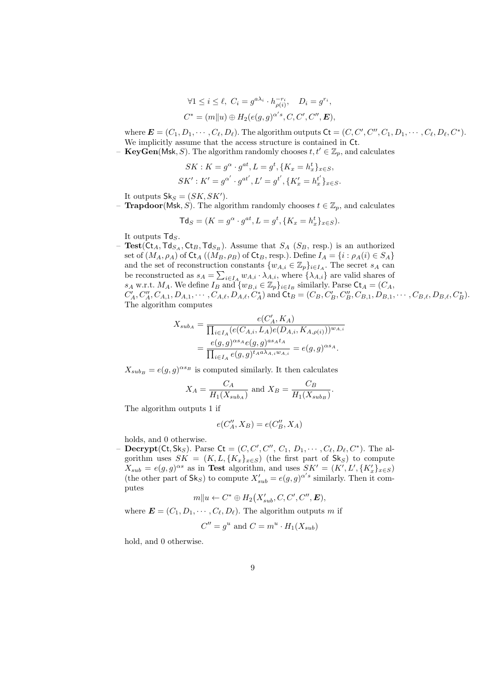$$
\forall 1 \leq i \leq \ell, \ C_i = g^{a\lambda_i} \cdot h_{\rho(i)}^{-r_i}, \quad D_i = g^{r_i},
$$
  

$$
C^* = (m||u) \oplus H_2(e(g, g)^{\alpha's}, C, C', C'', \mathbf{E}),
$$

where  $\mathbf{E} = (C_1, D_1, \cdots, C_\ell, D_\ell)$ . The algorithm outputs  $\mathsf{C} \mathsf{t} = (C, C', C'', C_1, D_1, \cdots, C_\ell, D_\ell, C^*)$ . We implicitly assume that the access structure is contained in Ct.

– **KeyGen**(Msk, S). The algorithm randomly chooses  $t, t' \in \mathbb{Z}_p$ , and calculates

$$
SK: K = g^{\alpha} \cdot g^{at}, L = g^{t}, \{K_x = h_x^{t}\}_{x \in S},
$$
  

$$
SK': K' = g^{\alpha'} \cdot g^{at'}, L' = g^{t'}, \{K'_x = h_x^{t'}\}_{x \in S}.
$$

It outputs  $\mathsf{Sk}_S = (SK, SK').$ 

**– Trapdoor**(Msk, S). The algorithm randomly chooses  $t \in \mathbb{Z}_p$ , and calculates

$$
\mathsf{Td}_S = (K = g^\alpha \cdot g^{at}, L = g^t, \{K_x = h^t_x\}_{x \in S}).
$$

It outputs  $\mathsf{Td}_S$ .

– Test(Ct<sub>A</sub>,Td<sub>S<sub>A</sub></sub>,Ct<sub>B</sub>,Td<sub>S<sub>B</sub></sub>). Assume that  $S_A$  (S<sub>B</sub>, resp.) is an authorized set of  $(M_A, \rho_A)$  of  $\text{Ct}_A$   $((M_B, \rho_B)$  of  $\text{Ct}_B$ , resp.). Define  $I_A = \{i : \rho_A(i) \in S_A\}$ and the set of reconstruction constants  $\{w_{A,i} \in \mathbb{Z}_p\}_{i \in I_A}$ . The secret  $s_A$  can be reconstructed as  $s_A = \sum_{i \in I_A} w_{A,i} \cdot \lambda_{A,i}$ , where  $\{\lambda_{A,i}\}$  are valid shares of  $s_A$  w.r.t.  $M_A$ . We define  $I_B$  and  $\{w_{B,i} \in \mathbb{Z}_p\}_{i \in I_B}$  similarly. Parse  $\mathsf{C} \mathsf{t}_A = (C_A, \mathsf{C})$  $C'_A, C''_A, C_{A,1}, D_{A,1}, \cdots, C_{A,\ell}, D_{A,\ell}, C_A^*$  and  $\mathsf{Ct}_B = (C_B, C'_B, C''_B, C_{B,1}, D_{B,1}, \cdots, C_{B,\ell}, D_{B,\ell}, C_B^*).$ The algorithm computes

$$
X_{subA} = \frac{e(C'_A, K_A)}{\prod_{i \in I_A} (e(C_{A,i}, L_A)e(D_{A,i}, K_{A,\rho(i)}))^{w_{A,i}}}
$$
  
= 
$$
\frac{e(g, g)^{\alpha s_A} e(g, g)^{\alpha s_A t_A}}{\prod_{i \in I_A} e(g, g)^{t_A a \lambda_{A,i} w_{A,i}}} = e(g, g)^{\alpha s_A}.
$$

 $X_{subB} = e(g, g)^{\alpha s_B}$  is computed similarly. It then calculates

$$
X_A = \frac{C_A}{H_1(X_{sub_A})}
$$
 and  $X_B = \frac{C_B}{H_1(X_{sub_B})}$ .

The algorithm outputs 1 if

$$
e(C''_A, X_B) = e(C''_B, X_A)
$$

holds, and 0 otherwise.

- **Decrypt**(Ct, Sk<sub>S</sub>). Parse Ct =  $(C, C', C'', C_1, D_1, \dots, C_{\ell}, D_{\ell}, C^*)$ . The algorithm uses  $SK = (K, L, \{K_x\}_{x \in S})$  (the first part of  $\mathsf{Sk}_S$ ) to compute  $X_{sub} = e(g, g)^{\alpha s}$  as in Test algorithm, and uses  $SK' = (K', L', \{K'_x\}_{x \in S})$ (the other part of  $\mathsf{Sk}_S$ ) to compute  $X'_{sub} = e(g, g)^{\alpha' s}$  similarly. Then it computes

$$
m||u \leftarrow C^* \oplus H_2(X'_{sub}, C, C', C'', \mathbf{E}),
$$

where  $\mathbf{E} = (C_1, D_1, \cdots, C_\ell, D_\ell)$ . The algorithm outputs m if

$$
C'' = g^u
$$
 and 
$$
C = m^u \cdot H_1(X_{sub})
$$

hold, and 0 otherwise.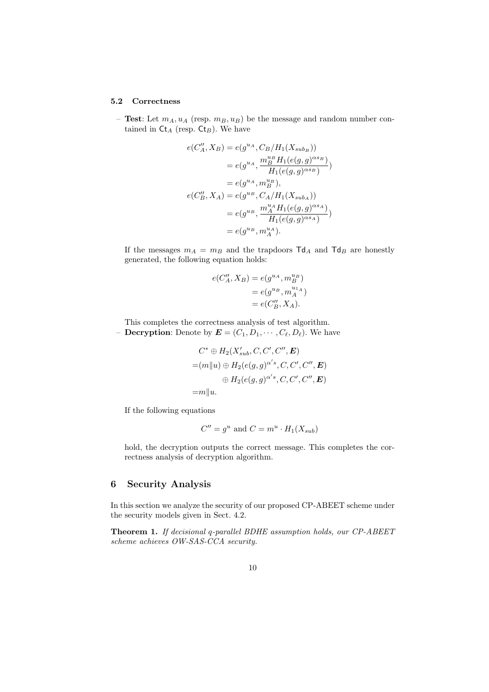#### 5.2 Correctness

– Test: Let  $m_A, u_A$  (resp.  $m_B, u_B$ ) be the message and random number contained in  $\mathsf{Ct}_A$  (resp.  $\mathsf{Ct}_B$ ). We have

$$
e(C''_A, X_B) = e(g^{u_A}, C_B/H_1(X_{sub_B}))
$$
  
=  $e(g^{u_A}, \frac{m_B^{u_B}H_1(e(g,g)^{\alpha s_B})}{H_1(e(g,g)^{\alpha s_B})})$   
=  $e(g^{u_A}, m_B^{u_B}),$   
 $e(C''_B, X_A) = e(g^{u_B}, C_A/H_1(X_{sub_A}))$   
=  $e(g^{u_B}, \frac{m_A^u H_1(e(g,g)^{\alpha s_A})}{H_1(e(g,g)^{\alpha s_A})})$   
=  $e(g^{u_B}, m_A^{u_A}).$ 

If the messages  $m_A = m_B$  and the trapdoors  $\text{Td}_A$  and  $\text{Td}_B$  are honestly generated, the following equation holds:

$$
e(C''_A, X_B) = e(g^{u_A}, m_B^{u_B})
$$
  
=  $e(g^{u_B}, m_A^{u_{1_A}})$   
=  $e(C''_B, X_A)$ .

This completes the correctness analysis of test algorithm.

**– Decryption:** Denote by  $\mathbf{E} = (C_1, D_1, \cdots, C_{\ell}, D_{\ell})$ . We have

$$
C^* \oplus H_2(X'_{sub}, C, C', C'', \mathbf{E})
$$
  
= $(m||u) \oplus H_2(e(g, g)^{\alpha' s}, C, C', C'', \mathbf{E})$   
 $\oplus H_2(e(g, g)^{\alpha' s}, C, C', C'', \mathbf{E})$   
= $m||u.$ 

If the following equations

<span id="page-9-1"></span>
$$
C'' = g^u
$$
 and 
$$
C = m^u \cdot H_1(X_{sub})
$$

hold, the decryption outputs the correct message. This completes the correctness analysis of decryption algorithm.

# <span id="page-9-0"></span>6 Security Analysis

In this section we analyze the security of our proposed CP-ABEET scheme under the security models given in Sect. [4.2.](#page-6-0)

Theorem 1. If decisional q-parallel BDHE assumption holds, our CP-ABEET scheme achieves OW-SAS-CCA security.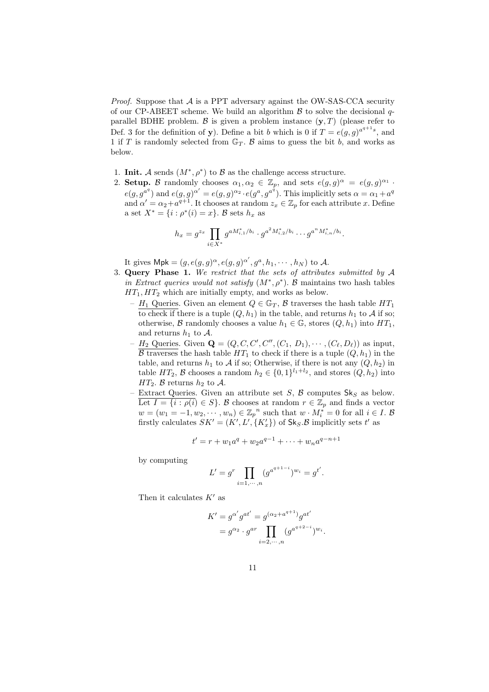*Proof.* Suppose that  $\mathcal A$  is a PPT adversary against the OW-SAS-CCA security of our CP-ABEET scheme. We build an algorithm  $\beta$  to solve the decisional qparallel BDHE problem.  $\beta$  is given a problem instance  $(\mathbf{y}, T)$  (please refer to Def. [3](#page-5-1) for the definition of y). Define a bit b which is 0 if  $T = e(g, g)^{a^{q+1}s}$ , and 1 if T is randomly selected from  $\mathbb{G}_T$ . B aims to guess the bit b, and works as below.

- 1. Init. A sends  $(M^*, \rho^*)$  to B as the challenge access structure.
- 2. Setup. B randomly chooses  $\alpha_1, \alpha_2 \in \mathbb{Z}_p$ , and sets  $e(g, g)^\alpha = e(g, g)^{\alpha_1}$ .  $e(g, g^{a^q})$  and  $e(g, g)^{\alpha'} = e(g, g)^{\alpha_2} \cdot e(g^a, g^{a^{\overline{q}}})$ . This implicitly sets  $\alpha = \alpha_1 + a^q$ and  $\alpha' = \alpha_2 + a^{q+1}$ . It chooses at random  $z_x \in \mathbb{Z}_p$  for each attribute x. Define a set  $X^* = \{i : \rho^*(i) = x\}$ . B sets  $h_x$  as

$$
h_x = g^{z_x} \prod_{i \in X^*} g^{a M_{i,1}^* / b_i} \cdot g^{a^2 M_{i,2}^* / b_i} \cdots g^{a^n M_{i,n}^* / b_i}.
$$

It gives  $\mathsf{Mpk} = (g, e(g, g)^{\alpha}, e(g, g)^{\alpha'}, g^a, h_1, \cdots, h_N)$  to A.

- 3. Query Phase 1. We restrict that the sets of attributes submitted by A in Extract queries would not satisfy  $(M^*, \rho^*)$ . B maintains two hash tables  $HT_1, HT_2$  which are initially empty, and works as below.
	- $H_1$  Queries. Given an element  $Q \in \mathbb{G}_T$ ,  $\beta$  traverses the hash table  $HT_1$ to check if there is a tuple  $(Q, h_1)$  in the table, and returns  $h_1$  to A if so; otherwise, B randomly chooses a value  $h_1 \in \mathbb{G}$ , stores  $(Q, h_1)$  into  $HT_1$ , and returns  $h_1$  to A.
	- $H_2$  Queries. Given  $\mathbf{Q} = (Q, C, C', C'', (C_1, D_1), \cdots, (C_{\ell}, D_{\ell}))$  as input,  $\overline{B}$  traverses the hash table  $HT_1$  to check if there is a tuple  $(Q, h_1)$  in the table, and returns  $h_1$  to A if so; Otherwise, if there is not any  $(Q, h_2)$  in table  $HT_2$ ,  $\mathcal B$  chooses a random  $h_2 \in \{0,1\}^{l_1+l_2}$ , and stores  $(Q, h_2)$  into  $HT_2$ . B returns  $h_2$  to A.
	- Extract Queries. Given an attribute set S,  $\beta$  computes Sk<sub>S</sub> as below. Let  $I = \{i : \rho(i) \in S\}$ . B chooses at random  $r \in \mathbb{Z}_p$  and finds a vector  $w = (w_1 = -1, w_2, \cdots, w_n) \in \mathbb{Z}_p^{\ n}$  such that  $w \cdot M_i^* = 0$  for all  $i \in I$ . B firstly calculates  $SK' = (K', L', \{K'_x\})$  of  $\text{Sk}_S.\mathcal{B}$  implicitly sets  $t'$  as

$$
t' = r + w_1 a^q + w_2 a^{q-1} + \dots + w_n a^{q-n+1}
$$

by computing

$$
L' = g^r \prod_{i=1,\dots,n} (g^{a^{q+1-i}})^{w_i} = g^{t'}.
$$

Then it calculates  $K'$  as

$$
K' = g^{\alpha'} g^{at'} = g^{(\alpha_2 + a^{q+1})} g^{at'}
$$
  
=  $g^{\alpha_2} \cdot g^{ar} \prod_{i=2,\dots,n} (g^{a^{q+2-i}})^{w_i}$ .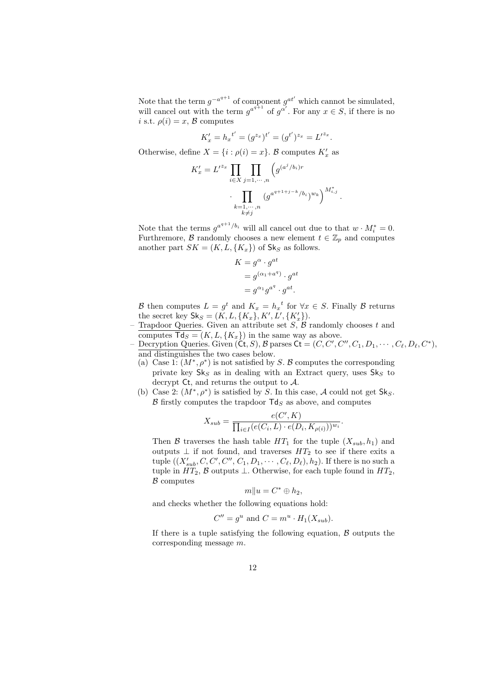Note that the term  $g^{-a^{q+1}}$  of component  $g^{at'}$  which cannot be simulated, will cancel out with the term  $g^{a^{q+1}}$  of  $g^{\alpha'}$ . For any  $x \in S$ , if there is no i s.t.  $\rho(i) = x, \mathcal{B}$  computes

$$
K'_x = h_x^{t'} = (g^{z_x})^{t'} = (g^{t'})^{z_x} = L'^{z_x}.
$$

Otherwise, define  $X = \{i : \rho(i) = x\}$ . B computes  $K'_x$  as

$$
K'_x = L'^{z_x} \prod_{i \in X} \prod_{j=1,\dots,n} \left( g^{(a^j/b_i)r} \cdot \prod_{\substack{k=1,\dots,n \\ k \neq j}} \left( g^{a^{q+1+j-k}/b_i} \right)^{w_k} \right)^{M^*_{i,j}}
$$

.

Note that the terms  $g^{a^{q+1}/b_i}$  will all cancel out due to that  $w \cdot M_i^* = 0$ . Furthremore,  $\beta$  randomly chooses a new element  $t \in \mathbb{Z}_p$  and computes another part  $SK = (K, L, \{K_x\})$  of  $Sk_S$  as follows.

$$
K = g^{\alpha} \cdot g^{at}
$$
  
=  $g^{(\alpha_1 + a^q)} \cdot g^{at}$   
=  $g^{\alpha_1} g^{a^q} \cdot g^{at}$ .

B then computes  $L = g^t$  and  $K_x = h_x^t$  for  $\forall x \in S$ . Finally B returns the secret key  $\mathsf{Sk}_S = (K, L, \{K_x\}, K', L', \{K'_x\}).$ 

Trapdoor Queries. Given an attribute set  $S$ ,  $\beta$  randomly chooses t and computes  $\textsf{Td}_S = (K, L, \{K_x\})$  in the same way as above.

- Decryption Queries. Given  $(\mathsf{C}\mathsf{t},S), \mathcal{B}$  parses  $\mathsf{C}\mathsf{t} = (C, C', C'', C_1, D_1, \cdots, C_\ell, D_\ell, C^*)$ , and distinguishes the two cases below.

- (a) Case 1:  $(M^*, \rho^*)$  is not satisfied by S. B computes the corresponding private key  $\mathsf{Sk}_S$  as in dealing with an Extract query, uses  $\mathsf{Sk}_S$  to decrypt Ct, and returns the output to A.
- (b) Case 2:  $(M^*, \rho^*)$  is satisfied by S. In this case, A could not get Sk<sub>S</sub>.  $\beta$  firstly computes the trapdoor  $\textsf{Td}_S$  as above, and computes

$$
X_{sub} = \frac{e(C', K)}{\prod_{i \in I} (e(C_i, L) \cdot e(D_i, K_{\rho(i)}))^{w_i}}.
$$

Then B traverses the hash table  $HT_1$  for the tuple  $(X_{sub}, h_1)$  and outputs  $\perp$  if not found, and traverses  $HT_2$  to see if there exits a tuple  $((X'_{sub}, C, C', C'', C_1, D_1, \cdots, C_{\ell}, D_{\ell}), h_2)$ . If there is no such a tuple in  $HT_2$ ,  $\beta$  outputs  $\bot$ . Otherwise, for each tuple found in  $HT_2$ ,  $\beta$  computes

$$
m||u = C^* \oplus h_2,
$$

and checks whether the following equations hold:

$$
C'' = g^u
$$
 and 
$$
C = m^u \cdot H_1(X_{sub}).
$$

If there is a tuple satisfying the following equation,  $\beta$  outputs the corresponding message m.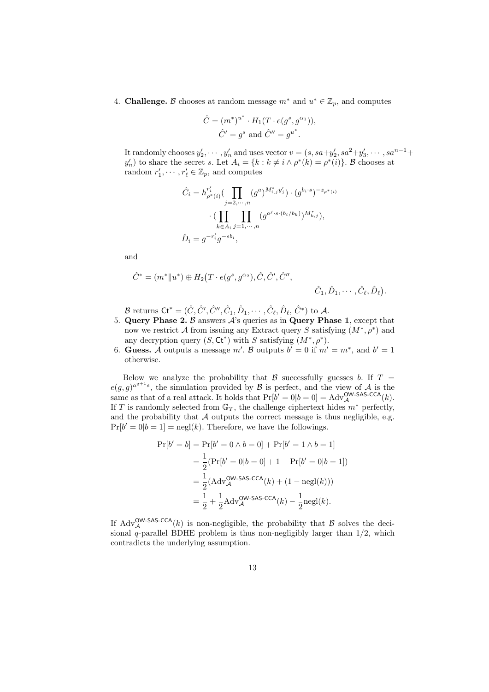4. **Challenge.**  $\beta$  chooses at random message  $m^*$  and  $u^* \in \mathbb{Z}_p$ , and computes

$$
\hat{C} = (m^*)^{u^*} \cdot H_1(T \cdot e(g^s, g^{\alpha_1})),
$$
  

$$
\hat{C}' = g^s \text{ and } \hat{C}'' = g^{u^*}.
$$

It randomly chooses  $y_2', \dots, y_n'$  and uses vector  $v = (s, sa+y_2', sa^2+y_3', \dots, sa^{n-1}+$  $y'_n$ ) to share the secret s. Let  $A_i = \{k : k \neq i \land \rho^*(k) = \rho^*(i)\}\$ . B chooses at random  $r'_1, \dots, r'_{\ell} \in \mathbb{Z}_p$ , and computes

$$
\hat{C}_i = h_{\rho^*(i)}^{r'_i} \left( \prod_{j=2,\dots,n} (g^a)^{M^*_{i,j} y'_j} \right) \cdot (g^{b_i \cdot s})^{-z_{\rho^*(i)}}
$$

$$
\cdot \left( \prod_{k \in A_i} \prod_{j=1,\dots,n} (g^{a^j \cdot s \cdot (b_i/b_k)})^{M^*_{k,j}} \right),
$$

$$
\hat{D}_i = g^{-r'_i} g^{-s b_i},
$$

and

$$
\hat{C}^* = (m^* \| u^*) \oplus H_2(T \cdot e(g^s, g^{\alpha_2}), \hat{C}, \hat{C}', \hat{C}'', \hat{C}'',\hat{C}_1, \hat{D}_1, \dots, \hat{C}_\ell, \hat{D}_\ell).
$$

B returns  $\mathsf{C} \mathsf{t}^* = (\hat{C}, \hat{C}', \hat{C}'', \hat{C}_1, \hat{D}_1, \cdots, \hat{C}_\ell, \hat{D}_\ell, \hat{C}^*)$  to  $\mathcal{A}.$ 

- 5. Query Phase 2.  $\beta$  answers  $\mathcal{A}$ 's queries as in Query Phase 1, except that now we restrict A from issuing any Extract query S satisfying  $(M^*, \rho^*)$  and any decryption query  $(S, \mathsf{C} \mathsf{t}^*)$  with S satisfying  $(M^*, \rho^*)$ .
- 6. Guess. A outputs a message m'. B outputs  $b' = 0$  if  $m' = m^*$ , and  $b' = 1$ otherwise.

Below we analyze the probability that  $\beta$  successfully guesses b. If  $T =$  $e(g,g)^{a^{q+1}s}$ , the simulation provided by B is perfect, and the view of A is the same as that of a real attack. It holds that  $Pr[b' = 0|b = 0] = Adv_{\mathcal{A}}^{\text{OW-SAS-CCA}}(k)$ . If T is randomly selected from  $\mathbb{G}_T$ , the challenge ciphertext hides  $m^*$  perfectly, and the probability that  $A$  outputs the correct message is thus negligible, e.g.  $Pr[b' = 0|b = 1] = negl(k)$ . Therefore, we have the followings.

$$
\Pr[b' = b] = \Pr[b' = 0 \land b = 0] + \Pr[b' = 1 \land b = 1]
$$
  
=  $\frac{1}{2} (\Pr[b' = 0 | b = 0] + 1 - \Pr[b' = 0 | b = 1])$   
=  $\frac{1}{2} (\text{Adv}_{\mathcal{A}}^{\text{OW-SAS-CCA}}(k) + (1 - \text{negl}(k)))$   
=  $\frac{1}{2} + \frac{1}{2} \text{Adv}_{\mathcal{A}}^{\text{OW-SAS-CCA}}(k) - \frac{1}{2} \text{negl}(k).$ 

If  $\text{Adv}_{\mathcal{A}}^{\text{OW-SAS-CCA}}(k)$  is non-negligible, the probability that  $\mathcal B$  solves the decisional q-parallel BDHE problem is thus non-negligibly larger than  $1/2$ , which contradicts the underlying assumption.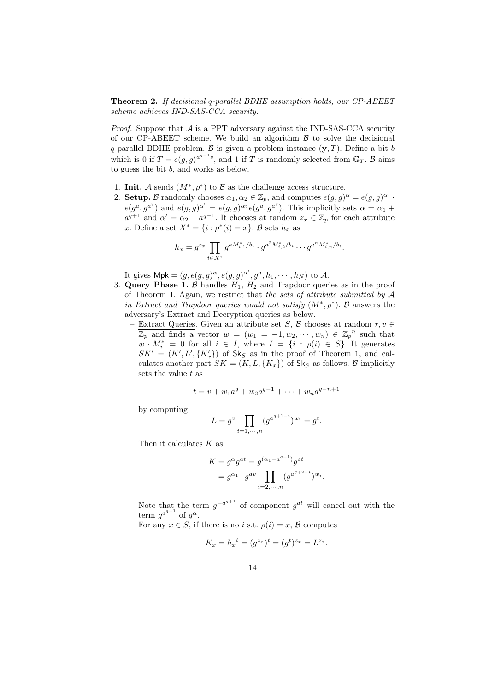Theorem 2. If decisional q-parallel BDHE assumption holds, our CP-ABEET scheme achieves IND-SAS-CCA security.

*Proof.* Suppose that  $A$  is a PPT adversary against the IND-SAS-CCA security of our CP-ABEET scheme. We build an algorithm  $\beta$  to solve the decisional q-parallel BDHE problem. B is given a problem instance  $(y, T)$ . Define a bit b which is 0 if  $T = e(g, g)^{a^{q+1}s}$ , and 1 if T is randomly selected from  $\mathbb{G}_T$ . B aims to guess the bit b, and works as below.

- 1. Init. A sends  $(M^*, \rho^*)$  to B as the challenge access structure.
- 2. Setup. B randomly chooses  $\alpha_1, \alpha_2 \in \mathbb{Z}_p$ , and computes  $e(g, g)^{\alpha} = e(g, g)^{\alpha_1}$ .  $e(g^a, g^{a^q})$  and  $e(g, g)^{\alpha'} = e(g, g)^{\alpha_2} e(g^a, g^{a^q})$ . This implicitly sets  $\alpha = \alpha_1 + \alpha_2$  $a^{q+1}$  and  $\alpha' = \alpha_2 + a^{q+1}$ . It chooses at random  $z_x \in \mathbb{Z}_p$  for each attribute x. Define a set  $X^* = \{i : \rho^*(i) = x\}$ . B sets  $h_x$  as

$$
h_x = g^{z_x} \prod_{i \in X^*} g^{a M_{i,1}^* / b_i} \cdot g^{a^2 M_{i,2}^* / b_i} \cdots g^{a^n M_{i,n}^* / b_i}.
$$

It gives  $\mathsf{Mpk} = (g, e(g, g)^{\alpha}, e(g, g)^{\alpha'}, g^a, h_1, \cdots, h_N)$  to A.

- 3. Query Phase 1. B handles  $H_1$ ,  $H_2$  and Trapdoor queries as in the proof of Theorem [1.](#page-9-1) Again, we restrict that the sets of attribute submitted by  $\mathcal A$ in Extract and Trapdoor queries would not satisfy  $(M^*, \rho^*)$ . B answers the adversary's Extract and Decryption queries as below.
	- Extract Queries. Given an attribute set S, B chooses at random  $r, v \in$  $\overline{\mathbb{Z}_p}$  and finds a vector  $w = (w_1 = -1, w_2, \dots, w_n) \in {\mathbb{Z}_p}^n$  such that  $w \cdot M_i^* = 0$  for all  $i \in I$ , where  $I = \{i : \rho(i) \in S\}$ . It generates  $SK' = (K', L', \lbrace K'_x \rbrace)$  of  $Sk_S$  as in the proof of Theorem [1,](#page-9-1) and calculates another part  $SK = (K, L, \{K_x\})$  of  $\mathsf{Sk}_S$  as follows. B implicitly sets the value  $t$  as

$$
t = v + w_1 a^q + w_2 a^{q-1} + \dots + w_n a^{q-n+1}
$$

by computing

$$
L = g^v \prod_{i=1,\dots,n} (g^{a^{q+1-i}})^{w_i} = g^t.
$$

Then it calculates  $K$  as

$$
K = g^{\alpha} g^{at} = g^{(\alpha_1 + a^{q+1})} g^{at}
$$
  
=  $g^{\alpha_1} \cdot g^{av} \prod_{i=2,\dots,n} (g^{a^{q+2-i}})^{w_i}$ .

Note that the term  $g^{-a^{q+1}}$  of component  $g^{at}$  will cancel out with the term  $g^{a^{q+1}}$  of  $g^{\alpha}$ .

For any  $x \in S$ , if there is no i s.t.  $\rho(i) = x, \mathcal{B}$  computes

$$
K_x = h_x^{\ t} = (g^{z_x})^t = (g^t)^{z_x} = L^{z_x}.
$$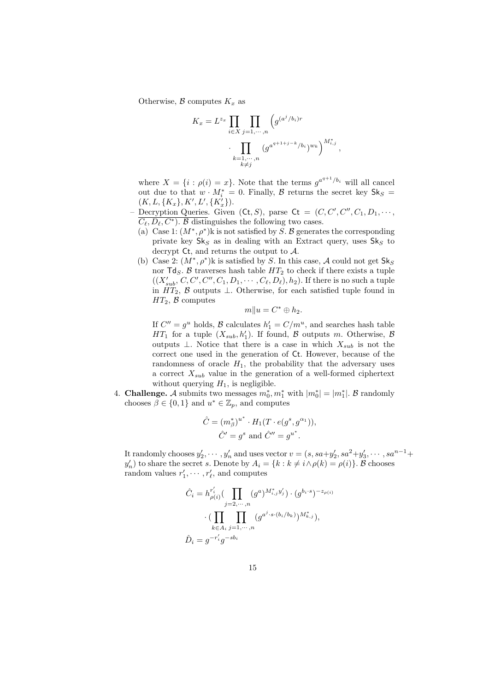Otherwise,  $\beta$  computes  $K_x$  as

$$
K_x = L^{z_x} \prod_{i \in X} \prod_{j=1,\dots,n} \left( g^{(a^j/b_i)r}
$$

$$
\cdot \prod_{\substack{k=1,\dots,n \\ k \neq j}} \left( g^{a^{q+1+j-k}/b_i} \right)^{w_k} \right)^{M_{i,j}^*}
$$

,

where  $X = \{i : \rho(i) = x\}$ . Note that the terms  $g^{a^{q+1}/b_i}$  will all cancel out due to that  $w \cdot M_i^* = 0$ . Finally,  $\beta$  returns the secret key  $\mathsf{Sk}_S =$  $(K, L, \{K_x\}, K', L', \{K'_x\}).$ 

- Decryption Queries. Given  $( Ct, S)$ , parse  $Ct = (C, C', C'', C_1, D_1, \cdots, C_{\ell})$  $\overline{C_{\ell}, D_{\ell}, C^*}$ . B distinguishes the following two cases.
	- (a) Case 1:  $(M^*, \rho^*)$ k is not satisfied by S. B generates the corresponding private key  $\mathsf{Sk}_S$  as in dealing with an Extract query, uses  $\mathsf{Sk}_S$  to decrypt Ct, and returns the output to A.
	- (b) Case 2:  $(M^*, \rho^*)$ k is satisfied by S. In this case, A could not get  $\mathsf{Sk}_S$ nor  $\mathsf{Td}_S$ . B traverses hash table  $HT_2$  to check if there exists a tuple  $((X'_{sub}, C, C', C'', C_1, D_1, \cdots, C_{\ell}, D_{\ell}), h_2)$ . If there is no such a tuple in  $HT_2$ ,  $\beta$  outputs ⊥. Otherwise, for each satisfied tuple found in  $HT_2$ ,  $\beta$  computes

$$
m||u = C^* \oplus h_2.
$$

If  $C'' = g^u$  holds,  $\mathcal{B}$  calculates  $h'_1 = C/m^u$ , and searches hash table  $HT_1$  for a tuple  $(X_{sub}, h'_1)$ . If found,  $\beta$  outputs m. Otherwise,  $\beta$ outputs  $\perp$ . Notice that there is a case in which  $X_{sub}$  is not the correct one used in the generation of Ct. However, because of the randomness of oracle  $H_1$ , the probability that the adversary uses a correct  $X_{sub}$  value in the generation of a well-formed ciphertext without querying  $H_1$ , is negligible.

4. **Challenge.** A submits two messages  $m_0^*$ ,  $m_1^*$  with  $|m_0^*| = |m_1^*|$ . B randomly chooses  $\beta \in \{0,1\}$  and  $u^* \in \mathbb{Z}_p$ , and computes

$$
\hat{C} = (m_{\beta}^*)^{u^*} \cdot H_1(T \cdot e(g^s, g^{\alpha_1})),
$$
  

$$
\hat{C}' = g^s \text{ and } \hat{C}'' = g^{u^*}.
$$

It randomly chooses  $y_2', \dots, y_n'$  and uses vector  $v = (s, sa+y_2', sa^2+y_3', \dots, sa^{n-1}+$  $y'_n$ ) to share the secret s. Denote by  $A_i = \{k : k \neq i \land \rho(k) = \rho(i)\}\.$  B chooses random values  $r'_1, \cdots, r'_{\ell}$ , and computes

$$
\hat{C}_i = h_{\rho(i)}^{r'_i} \left( \prod_{j=2,\dots,n} (g^a)^{M^*_{i,j} y'_j} \right) \cdot (g^{b_i \cdot s})^{-z_{\rho(i)}}
$$

$$
\cdot \left( \prod_{k \in A_i} \prod_{j=1,\dots,n} (g^{a^j \cdot s \cdot (b_i/b_k)})^{M^*_{k,j}} \right),
$$

$$
\hat{D}_i = g^{-r'_i} g^{-sb_i}
$$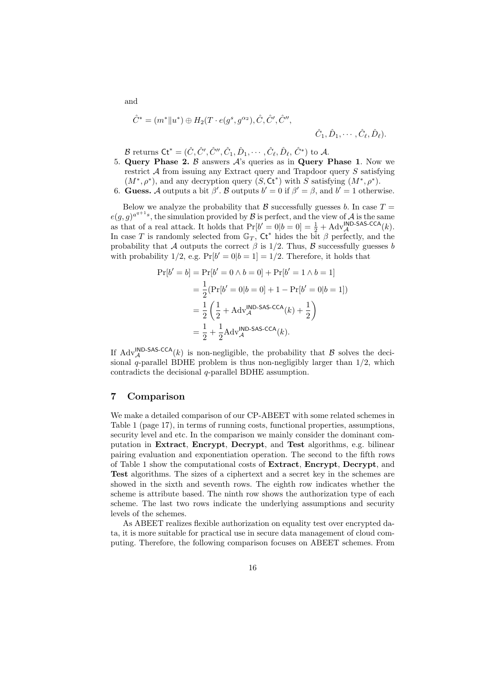$$
\hat{C}^* = (m^* \| u^*) \oplus H_2(T \cdot e(g^s, g^{\alpha_2}), \hat{C}, \hat{C}', \hat{C}'', \hat{C}'', \hat{C}_1, \hat{D}_1, \cdots, \hat{C}_\ell, \hat{D}_\ell).
$$

 $\mathcal B$  returns  $\mathsf{C} \mathsf{t}^* = (\hat C,\hat C',\hat C'',\hat C_1,\hat D_1,\cdots,\hat C_\ell,\hat D_\ell,\,\hat C^*)$  to  $\mathcal A.$ 

- 5. Query Phase 2.  $\beta$  answers  $\mathcal{A}$ 's queries as in Query Phase 1. Now we restrict  $A$  from issuing any Extract query and Trapdoor query  $S$  satisfying  $(M^*, \rho^*)$ , and any decryption query  $(S, \mathsf{C} \mathsf{t}^*)$  with S satisfying  $(M^*, \rho^*)$ .
- 6. Guess. A outputs a bit  $\beta'$ . B outputs  $b' = 0$  if  $\beta' = \beta$ , and  $b' = 1$  otherwise.

Below we analyze the probability that  $\beta$  successfully guesses b. In case  $T =$  $e(g,g)^{a^{q+1}s}$ , the simulation provided by  $\mathcal B$  is perfect, and the view of  $\mathcal A$  is the same as that of a real attack. It holds that  $Pr[b' = 0|b = 0] = \frac{1}{2} + Adv_{\mathcal{A}}^{\mathsf{IND- SAS-CCA}}(k)$ . In case T is randomly selected from  $\mathbb{G}_T$ ,  $\mathsf{C}t^*$  hides the bit  $\beta$  perfectly, and the probability that A outputs the correct  $\beta$  is 1/2. Thus, B successfully guesses b with probability  $1/2$ , e.g.  $Pr[b' = 0|b = 1] = 1/2$ . Therefore, it holds that

$$
\Pr[b' = b] = \Pr[b' = 0 \land b = 0] + \Pr[b' = 1 \land b = 1]
$$
  
=  $\frac{1}{2} (\Pr[b' = 0 | b = 0] + 1 - \Pr[b' = 0 | b = 1])$   
=  $\frac{1}{2} \left( \frac{1}{2} + \text{Adv}_{\mathcal{A}}^{\text{IND-SAS-CCA}}(k) + \frac{1}{2} \right)$   
=  $\frac{1}{2} + \frac{1}{2} \text{Adv}_{\mathcal{A}}^{\text{IND-SAS-CCA}}(k).$ 

If  $\text{Adv}_{\mathcal{A}}^{\text{IND-SAS-CCA}}(k)$  is non-negligible, the probability that  $\mathcal B$  solves the decisional q-parallel BDHE problem is thus non-negligibly larger than 1/2, which contradicts the decisional q-parallel BDHE assumption.

## <span id="page-15-0"></span>7 Comparison

We make a detailed comparison of our CP-ABEET with some related schemes in Table [1](#page-16-0) (page [17\)](#page-16-0), in terms of running costs, functional properties, assumptions, security level and etc. In the comparison we mainly consider the dominant computation in Extract, Encrypt, Decrypt, and Test algorithms, e.g. bilinear pairing evaluation and exponentiation operation. The second to the fifth rows of Table [1](#page-16-0) show the computational costs of Extract, Encrypt, Decrypt, and Test algorithms. The sizes of a ciphertext and a secret key in the schemes are showed in the sixth and seventh rows. The eighth row indicates whether the scheme is attribute based. The ninth row shows the authorization type of each scheme. The last two rows indicate the underlying assumptions and security levels of the schemes.

As ABEET realizes flexible authorization on equality test over encrypted data, it is more suitable for practical use in secure data management of cloud computing. Therefore, the following comparison focuses on ABEET schemes. From

and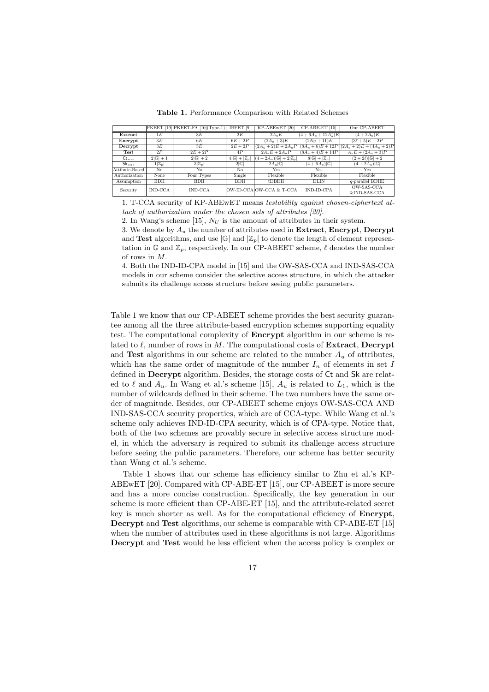|                      |                   | $\vert$ PKEET [19] PKEET-FA [10] (Type-1) | IBEET <sup>[9]</sup>           | KP-ABEwET [20]                         | CP-ABE-ET [15]                 | Our CP-ABEET                |
|----------------------|-------------------|-------------------------------------------|--------------------------------|----------------------------------------|--------------------------------|-----------------------------|
| Extract              | 1E                | 3E                                        | 2E                             | $2A_uE$                                | $(4+6A_u+12A_u^2)E$            | $(4 + 2A_n)E$               |
| Encrypt              | 3E                | 6E                                        | $6E+2P$                        | $(2A_u + 3)E$                          | $(2N_U + 11)E$                 | $(3\ell + 5)E + 2P$         |
| Decrypt              | 3E                | 5E                                        | $2E+2P$                        | $(2A_u + 2)E + 2A_uP$                  | $(8A_u + 6)E + 12P$            | $(2A_u + 2)E + (4A_u + 2)P$ |
| Test                 | 2P                | $2E + 2P$                                 | 4P                             | $2A_uE+2A_uP$                          | $(8A_u + 4)E + 14P$            | $A_u E + (2A_u + 3)P$       |
| $\mathsf{Ct}_{size}$ | $2 G +1$          | $2 \mathbb{G} +2$                         | $4 \mathbb{G} + \mathbb{Z}_p $ | $(4+2A_u) \mathbb{G} +2 \mathbb{Z}_p $ | $8 \mathbb{G} + \mathbb{Z}_p $ | $(2+2\ell) \mathbb{G} +2$   |
| Sk <sub>size</sub>   | $1 \mathbb{Z}_p $ | $3 \mathbb{Z}_p $                         | 2 G                            | $2A_u \mathbb{G} $                     | $(4+6A_u) \mathbb{G} $         | $(4+2A_u) \mathbb{G} $      |
| Attibute-Based       | No                | No.                                       | No                             | Yes                                    | <b>Yes</b>                     | Yes                         |
| Authorization        | None              | Four Types                                | Single                         | Flexible                               | Flexible                       | Flexible                    |
| Assumption           | <b>BDH</b>        | <b>BDH</b>                                | <b>BDH</b>                     | $t$ DBDH                               | <b>DLIN</b>                    | $q$ -parallel BDHE          |
| Security             | IND-CCA           | <b>IND-CCA</b>                            |                                | OW-ID-CCA OW-CCA & T-CCA               | IND-ID-CPA                     | OW-SAS-CCA<br>&IND-SAS-CCA  |

<span id="page-16-0"></span>Table 1. Performance Comparison with Related Schemes

1. T-CCA security of KP-ABEwET means testability against chosen-ciphertext attack of authorization under the chosen sets of attributes [\[20\]](#page-18-3).

2. In Wang's scheme [\[15\]](#page-18-2),  $N_U$  is the amount of attributes in their system.

3. We denote by  $A_u$  the number of attributes used in Extract, Encrypt, Decrypt and Test algorithms, and use  $|\mathbb{G}|$  and  $|\mathbb{Z}_n|$  to denote the length of element representation in G and  $\mathbb{Z}_p$ , respectively. In our CP-ABEET scheme,  $\ell$  denotes the number of rows in M.

4. Both the IND-ID-CPA model in [\[15\]](#page-18-2) and the OW-SAS-CCA and IND-SAS-CCA models in our scheme consider the selective access structure, in which the attacker submits its challenge access structure before seeing public parameters.

Table [1](#page-16-0) we know that our CP-ABEET scheme provides the best security guarantee among all the three attribute-based encryption schemes supporting equality test. The computational complexity of Encrypt algorithm in our scheme is related to  $\ell$ , number of rows in M. The computational costs of **Extract**, Decrypt and Test algorithms in our scheme are related to the number  $A_u$  of attributes, which has the same order of magnitude of the number  $I_n$  of elements in set I defined in Decrypt algorithm. Besides, the storage costs of Ct and Sk are related to  $\ell$  and  $A_u$ . In Wang et al.'s scheme [\[15\]](#page-18-2),  $A_u$  is related to  $L_1$ , which is the number of wildcards defined in their scheme. The two numbers have the same order of magnitude. Besides, our CP-ABEET scheme enjoys OW-SAS-CCA AND IND-SAS-CCA security properties, which are of CCA-type. While Wang et al.'s scheme only achieves IND-ID-CPA security, which is of CPA-type. Notice that, both of the two schemes are provably secure in selective access structure model, in which the adversary is required to submit its challenge access structure before seeing the public parameters. Therefore, our scheme has better security than Wang et al.'s scheme.

Table [1](#page-16-0) shows that our scheme has efficiency similar to Zhu et al.'s KP-ABEwET [\[20\]](#page-18-3). Compared with CP-ABE-ET [\[15\]](#page-18-2), our CP-ABEET is more secure and has a more concise construction. Specifically, the key generation in our scheme is more efficient than CP-ABE-ET [\[15\]](#page-18-2), and the attribute-related secret key is much shorter as well. As for the computational efficiency of **Encrypt**, Decrypt and Test algorithms, our scheme is comparable with CP-ABE-ET [\[15\]](#page-18-2) when the number of attributes used in these algorithms is not large. Algorithms Decrypt and Test would be less efficient when the access policy is complex or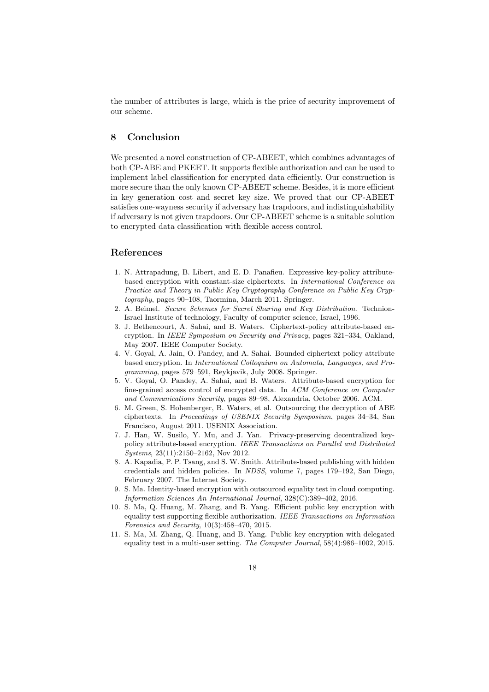the number of attributes is large, which is the price of security improvement of our scheme.

## <span id="page-17-2"></span>8 Conclusion

We presented a novel construction of CP-ABEET, which combines advantages of both CP-ABE and PKEET. It supports flexible authorization and can be used to implement label classification for encrypted data efficiently. Our construction is more secure than the only known CP-ABEET scheme. Besides, it is more efficient in key generation cost and secret key size. We proved that our CP-ABEET satisfies one-wayness security if adversary has trapdoors, and indistinguishability if adversary is not given trapdoors. Our CP-ABEET scheme is a suitable solution to encrypted data classification with flexible access control.

# References

- <span id="page-17-4"></span>1. N. Attrapadung, B. Libert, and E. D. Panafieu. Expressive key-policy attributebased encryption with constant-size ciphertexts. In International Conference on Practice and Theory in Public Key Cryptography Conference on Public Key Cryptography, pages 90–108, Taormina, March 2011. Springer.
- <span id="page-17-11"></span>2. A. Beimel. Secure Schemes for Secret Sharing and Key Distribution. Technion-Israel Institute of technology, Faculty of computer science, Israel, 1996.
- <span id="page-17-0"></span>3. J. Bethencourt, A. Sahai, and B. Waters. Ciphertext-policy attribute-based encryption. In IEEE Symposium on Security and Privacy, pages 321–334, Oakland, May 2007. IEEE Computer Society.
- <span id="page-17-6"></span>4. V. Goyal, A. Jain, O. Pandey, and A. Sahai. Bounded ciphertext policy attribute based encryption. In International Colloquium on Automata, Languages, and Programming, pages 579–591, Reykjavik, July 2008. Springer.
- <span id="page-17-3"></span>5. V. Goyal, O. Pandey, A. Sahai, and B. Waters. Attribute-based encryption for fine-grained access control of encrypted data. In ACM Conference on Computer and Communications Security, pages 89–98, Alexandria, October 2006. ACM.
- <span id="page-17-7"></span>6. M. Green, S. Hohenberger, B. Waters, et al. Outsourcing the decryption of ABE ciphertexts. In Proceedings of USENIX Security Symposium, pages 34–34, San Francisco, August 2011. USENIX Association.
- <span id="page-17-5"></span>7. J. Han, W. Susilo, Y. Mu, and J. Yan. Privacy-preserving decentralized keypolicy attribute-based encryption. IEEE Transactions on Parallel and Distributed Systems, 23(11):2150–2162, Nov 2012.
- <span id="page-17-8"></span>8. A. Kapadia, P. P. Tsang, and S. W. Smith. Attribute-based publishing with hidden credentials and hidden policies. In NDSS, volume 7, pages 179–192, San Diego, February 2007. The Internet Society.
- <span id="page-17-1"></span>9. S. Ma. Identity-based encryption with outsourced equality test in cloud computing. Information Sciences An International Journal, 328(C):389–402, 2016.
- <span id="page-17-10"></span>10. S. Ma, Q. Huang, M. Zhang, and B. Yang. Efficient public key encryption with equality test supporting flexible authorization. IEEE Transactions on Information Forensics and Security, 10(3):458–470, 2015.
- <span id="page-17-9"></span>11. S. Ma, M. Zhang, Q. Huang, and B. Yang. Public key encryption with delegated equality test in a multi-user setting. The Computer Journal, 58(4):986–1002, 2015.